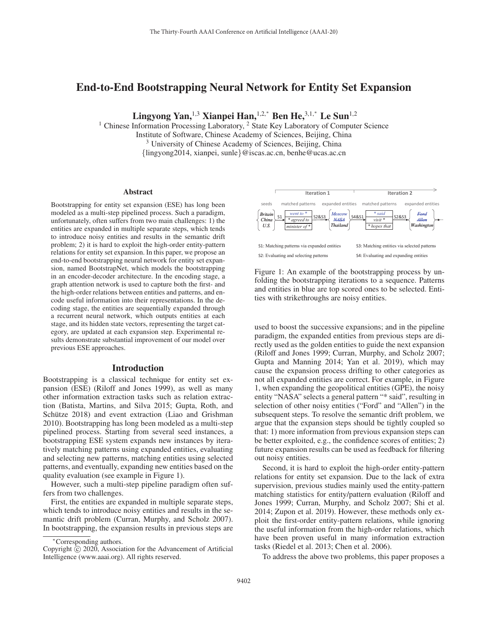# End-to-End Bootstrapping Neural Network for Entity Set Expansion

Lingyong Yan,<sup>1,3</sup> Xianpei Han,<sup>1,2,\*</sup> Ben He,<sup>3,1,\*</sup> Le Sun<sup>1,2</sup>

<sup>1</sup> Chinese Information Processing Laboratory, <sup>2</sup> State Key Laboratory of Computer Science Institute of Software, Chinese Academy of Sciences, Beijing, China <sup>3</sup> University of Chinese Academy of Sciences, Beijing, China {lingyong2014, xianpei, sunle}@iscas.ac.cn, benhe@ucas.ac.cn

#### Abstract

Bootstrapping for entity set expansion (ESE) has long been modeled as a multi-step pipelined process. Such a paradigm, unfortunately, often suffers from two main challenges: 1) the entities are expanded in multiple separate steps, which tends to introduce noisy entities and results in the semantic drift problem; 2) it is hard to exploit the high-order entity-pattern relations for entity set expansion. In this paper, we propose an end-to-end bootstrapping neural network for entity set expansion, named BootstrapNet, which models the bootstrapping in an encoder-decoder architecture. In the encoding stage, a graph attention network is used to capture both the first- and the high-order relations between entities and patterns, and encode useful information into their representations. In the decoding stage, the entities are sequentially expanded through a recurrent neural network, which outputs entities at each stage, and its hidden state vectors, representing the target category, are updated at each expansion step. Experimental results demonstrate substantial improvement of our model over previous ESE approaches.

#### Introduction

Bootstrapping is a classical technique for entity set expansion (ESE) (Riloff and Jones 1999), as well as many other information extraction tasks such as relation extraction (Batista, Martins, and Silva 2015; Gupta, Roth, and Schütze 2018) and event extraction (Liao and Grishman 2010). Bootstrapping has long been modeled as a multi-step pipelined process. Starting from several seed instances, a bootstrapping ESE system expands new instances by iteratively matching patterns using expanded entities, evaluating and selecting new patterns, matching entities using selected patterns, and eventually, expanding new entities based on the quality evaluation (see example in Figure 1).

However, such a multi-step pipeline paradigm often suffers from two challenges.

First, the entities are expanded in multiple separate steps, which tends to introduce noisy entities and results in the semantic drift problem (Curran, Murphy, and Scholz 2007). In bootstrapping, the expansion results in previous steps are



Figure 1: An example of the bootstrapping process by unfolding the bootstrapping iterations to a sequence. Patterns and entities in blue are top scored ones to be selected. Entities with strikethroughs are noisy entities.

used to boost the successive expansions; and in the pipeline paradigm, the expanded entities from previous steps are directly used as the golden entities to guide the next expansion (Riloff and Jones 1999; Curran, Murphy, and Scholz 2007; Gupta and Manning 2014; Yan et al. 2019), which may cause the expansion process drifting to other categories as not all expanded entities are correct. For example, in Figure 1, when expanding the geopolitical entities (GPE), the noisy entity "NASA" selects a general pattern "\* said", resulting in selection of other noisy entities ("Ford" and "Allen") in the subsequent steps. To resolve the semantic drift problem, we argue that the expansion steps should be tightly coupled so that: 1) more information from previous expansion steps can be better exploited, e.g., the confidence scores of entities; 2) future expansion results can be used as feedback for filtering out noisy entities.

Second, it is hard to exploit the high-order entity-pattern relations for entity set expansion. Due to the lack of extra supervision, previous studies mainly used the entity-pattern matching statistics for entity/pattern evaluation (Riloff and Jones 1999; Curran, Murphy, and Scholz 2007; Shi et al. 2014; Zupon et al. 2019). However, these methods only exploit the first-order entity-pattern relations, while ignoring the useful information from the high-order relations, which have been proven useful in many information extraction tasks (Riedel et al. 2013; Chen et al. 2006).

To address the above two problems, this paper proposes a

<sup>∗</sup>Corresponding authors.

Copyright  $\odot$  2020, Association for the Advancement of Artificial Intelligence (www.aaai.org). All rights reserved.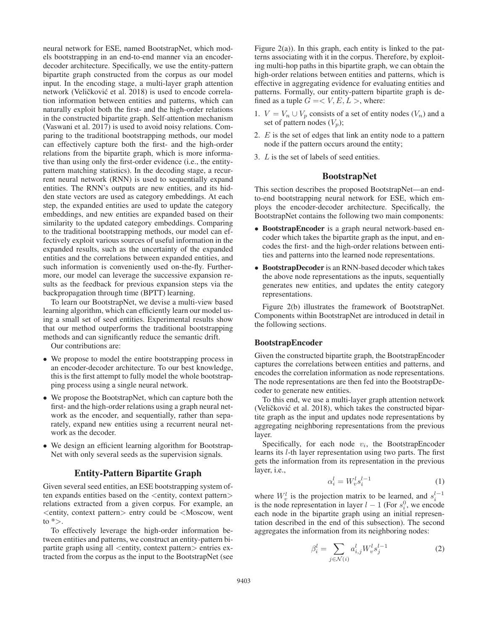neural network for ESE, named BootstrapNet, which models bootstrapping in an end-to-end manner via an encoderdecoder architecture. Specifically, we use the entity-pattern bipartite graph constructed from the corpus as our model input. In the encoding stage, a multi-layer graph attention network (Veličković et al. 2018) is used to encode correlation information between entities and patterns, which can naturally exploit both the first- and the high-order relations in the constructed bipartite graph. Self-attention mechanism (Vaswani et al. 2017) is used to avoid noisy relations. Comparing to the traditional bootstrapping methods, our model can effectively capture both the first- and the high-order relations from the bipartite graph, which is more informative than using only the first-order evidence (i.e., the entitypattern matching statistics). In the decoding stage, a recurrent neural network (RNN) is used to sequentially expand entities. The RNN's outputs are new entities, and its hidden state vectors are used as category embeddings. At each step, the expanded entities are used to update the category embeddings, and new entities are expanded based on their similarity to the updated category embeddings. Comparing to the traditional bootstrapping methods, our model can effectively exploit various sources of useful information in the expanded results, such as the uncertainty of the expanded entities and the correlations between expanded entities, and such information is conveniently used on-the-fly. Furthermore, our model can leverage the successive expansion results as the feedback for previous expansion steps via the backpropagation through time (BPTT) learning.

To learn our BootstrapNet, we devise a multi-view based learning algorithm, which can efficiently learn our model using a small set of seed entities. Experimental results show that our method outperforms the traditional bootstrapping methods and can significantly reduce the semantic drift.

Our contributions are:

- We propose to model the entire bootstrapping process in an encoder-decoder architecture. To our best knowledge, this is the first attempt to fully model the whole bootstrapping process using a single neural network.
- We propose the BootstrapNet, which can capture both the first- and the high-order relations using a graph neural network as the encoder, and sequentially, rather than separately, expand new entities using a recurrent neural network as the decoder.
- We design an efficient learning algorithm for Bootstrap-Net with only several seeds as the supervision signals.

## Entity-Pattern Bipartite Graph

Given several seed entities, an ESE bootstrapping system often expands entities based on the <entity, context pattern> relations extracted from a given corpus. For example, an <entity, context pattern> entry could be <Moscow, went to  $\ast$  >.

To effectively leverage the high-order information between entities and patterns, we construct an entity-pattern bipartite graph using all <entity, context pattern> entries extracted from the corpus as the input to the BootstrapNet (see Figure  $2(a)$ ). In this graph, each entity is linked to the patterns associating with it in the corpus. Therefore, by exploiting multi-hop paths in this bipartite graph, we can obtain the high-order relations between entities and patterns, which is effective in aggregating evidence for evaluating entities and patterns. Formally, our entity-pattern bipartite graph is defined as a tuple  $G = \langle V, E, L \rangle$ , where:

- 1.  $V = V_n \cup V_p$  consists of a set of entity nodes  $(V_n)$  and a set of pattern nodes  $(V_p)$ ;
- 2.  $E$  is the set of edges that link an entity node to a pattern node if the pattern occurs around the entity;
- 3. L is the set of labels of seed entities.

## **BootstrapNet**

This section describes the proposed BootstrapNet—an endto-end bootstrapping neural network for ESE, which employs the encoder-decoder architecture. Specifically, the BootstrapNet contains the following two main components:

- BootstrapEncoder is a graph neural network-based encoder which takes the bipartite graph as the input, and encodes the first- and the high-order relations between entities and patterns into the learned node representations.
- BootstrapDecoder is an RNN-based decoder which takes the above node representations as the inputs, sequentially generates new entities, and updates the entity category representations.

Figure 2(b) illustrates the framework of BootstrapNet. Components within BootstrapNet are introduced in detail in the following sections.

#### BootstrapEncoder

Given the constructed bipartite graph, the BootstrapEncoder captures the correlations between entities and patterns, and encodes the correlation information as node representations. The node representations are then fed into the BootstrapDecoder to generate new entities.

To this end, we use a multi-layer graph attention network (Veličković et al. 2018), which takes the constructed bipartite graph as the input and updates node representations by aggregating neighboring representations from the previous layer.

Specifically, for each node  $v_i$ , the BootstrapEncoder learns its l-th layer representation using two parts. The first gets the information from its representation in the previous layer, i.e.,

$$
\alpha_i^l = W_v^l s_i^{l-1} \tag{1}
$$

where  $W_v^l$  is the projection matrix to be learned, and  $s_i^{l-1}$ is the node representation in layer  $l - 1$  (For  $s_i^0$ , we encode each node in the binartite graph using an initial represeneach node in the bipartite graph using an initial representation described in the end of this subsection). The second aggregates the information from its neighboring nodes:

$$
\beta_i^l = \sum_{j \in \mathcal{N}(i)} a_{i,j}^l W_v^l s_j^{l-1} \tag{2}
$$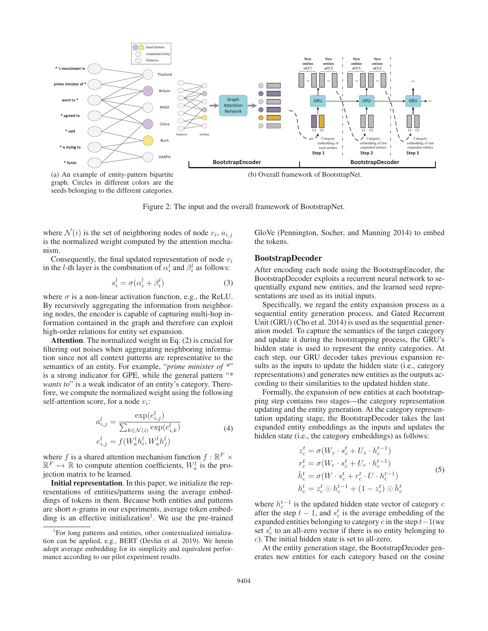

graph. Circles in different colors are the seeds belonging to the different categories.

Figure 2: The input and the overall framework of BootstrapNet.

where  $\mathcal{N}(i)$  is the set of neighboring nodes of node  $v_i$ ,  $a_{i,j}$ is the normalized weight computed by the attention mechanism.

Consequently, the final updated representation of node  $v_i$ in the l-th layer is the combination of  $\alpha_i^l$  and  $\beta_i^l$  as follows:

$$
s_i^l = \sigma(\alpha_i^l + \beta_i^l) \tag{3}
$$

where  $\sigma$  is a non-linear activation function, e.g., the ReLU. By recursively aggregating the information from neighboring nodes, the encoder is capable of capturing multi-hop information contained in the graph and therefore can exploit high-order relations for entity set expansion.

Attention. The normalized weight in Eq. (2) is crucial for filtering out noises when aggregating neighboring information since not all context patterns are representative to the semantics of an entity. For example, "*prime minister of \**" is a strong indicator for GPE, while the general pattern "*\* wants to*" is a weak indicator of an entity's category. Therefore, we compute the normalized weight using the following self-attention score, for a node  $v_i$ :

$$
a_{i,j}^l = \frac{\exp(e_{i,j}^l)}{\sum_{k \in \mathcal{N}(i)} \exp(e_{i,k}^l)}
$$
  
\n
$$
e_{i,j}^l = f(W_a^l h_i^l, W_a^l h_j^l)
$$
\n(4)

where f is a shared attention mechanism function  $f : \mathbb{R}^F \times$  $\mathbb{R}^F \mapsto \mathbb{R}$  to compute attention coefficients,  $W_a^l$  is the projection matrix to be learned.

Initial representation. In this paper, we initialize the representations of entities/patterns using the average embeddings of tokens in them. Because both entities and patterns are short *n*-grams in our experiments, average token embedding is an effective initialization<sup>1</sup>. We use the pre-trained GloVe (Pennington, Socher, and Manning 2014) to embed the tokens.

## BootstrapDecoder

After encoding each node using the BootstrapEncoder, the BootstrapDecoder exploits a recurrent neural network to sequentially expand new entities, and the learned seed representations are used as its initial inputs.

Specifically, we regard the entity expansion process as a sequential entity generation process, and Gated Recurrent Unit (GRU) (Cho et al. 2014) is used as the sequential generation model. To capture the semantics of the target category and update it during the bootstrapping process, the GRU's hidden state is used to represent the entity categories. At each step, our GRU decoder takes previous expansion results as the inputs to update the hidden state (i.e., category representations) and generates new entities as the outputs according to their similarities to the updated hidden state.

Formally, the expansion of new entities at each bootstrapping step contains two stages—the category representation updating and the entity generation. At the category representation updating stage, the BootstrapDecoder takes the last expanded entity embeddings as the inputs and updates the hidden state (i.e., the category embeddings) as follows:

$$
z_c^t = \sigma(W_z \cdot s_c^t + U_z \cdot h_c^{t-1})
$$
  
\n
$$
r_c^t = \sigma(W_r \cdot s_c^t + U_r \cdot h_c^{t-1})
$$
  
\n
$$
\bar{h}_c^t = \sigma(W \cdot s_c^t + r_c^t \cdot U \cdot h_c^{t-1})
$$
  
\n
$$
h_c^t = z_c^t \odot h_c^{t-1} + (1 - z_c^t) \odot \bar{h}_c^t
$$
\n(5)

where  $h_c^{t-1}$  is the updated hidden state vector of category c after the step  $t - 1$ , and  $s_c^t$  is the average embedding of the expanded entities belonging to category c in the step  $t-1$  (we expanded entities belonging to category  $c$  in the step  $t-1$ (we set  $s_c^t$  to an all-zero vector if there is no entity belonging to c). The initial hidden state is set to all-zero.

At the entity generation stage, the BootstrapDecoder generates new entities for each category based on the cosine

<sup>&</sup>lt;sup>1</sup>For long patterns and entities, other contextualized initialization can be applied, e.g., BERT (Devlin et al. 2019). We herein adopt average embedding for its simplicity and equivalent performance according to our pilot experiment results.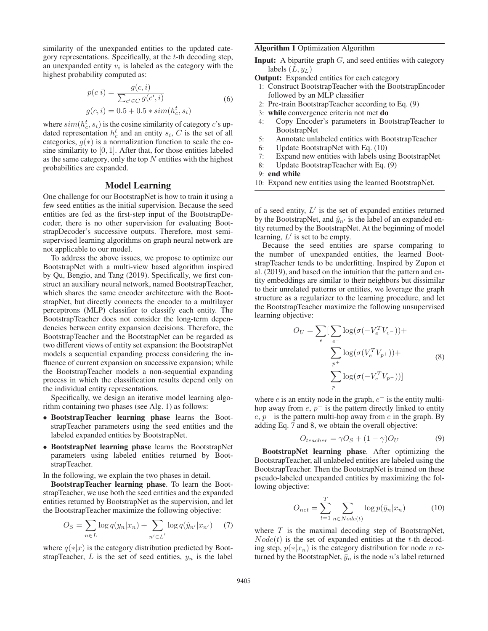similarity of the unexpanded entities to the updated category representations. Specifically, at the  $t$ -th decoding step, an unexpanded entity  $v_i$  is labeled as the category with the highest probability computed as:

$$
p(c|i) = \frac{g(c,i)}{\sum_{c' \in C} g(c',i)}
$$
  
 
$$
g(c,i) = 0.5 + 0.5 * sim(h_c^t, s_i)
$$
 (6)

where  $\text{sim}(h_c^t, s_i)$  is the cosine similarity of category c's up-<br>dated representation  $h^t$  and an entity  $s_i$ . C is the set of all dated representation  $h_c^t$  and an entity  $s_i$ , C is the set of all categories,  $g(*)$  is a normalization function to scale the cosine similarity to  $[0, 1]$ . After that, for those entities labeled as the same category, only the top  $N$  entities with the highest probabilities are expanded.

## Model Learning

One challenge for our BootstrapNet is how to train it using a few seed entities as the initial supervision. Because the seed entities are fed as the first-step input of the BootstrapDecoder, there is no other supervision for evaluating BootstrapDecoder's successive outputs. Therefore, most semisupervised learning algorithms on graph neural network are not applicable to our model.

To address the above issues, we propose to optimize our BootstrapNet with a multi-view based algorithm inspired by Qu, Bengio, and Tang (2019). Specifically, we first construct an auxiliary neural network, named BootstrapTeacher, which shares the same encoder architecture with the BootstrapNet, but directly connects the encoder to a multilayer perceptrons (MLP) classifier to classify each entity. The BootstrapTeacher does not consider the long-term dependencies between entity expansion decisions. Therefore, the BootstrapTeacher and the BootstrapNet can be regarded as two different views of entity set expansion: the BootstrapNet models a sequential expanding process considering the influence of current expansion on successive expansion; while the BootstrapTeacher models a non-sequential expanding process in which the classification results depend only on the individual entity representations.

Specifically, we design an iterative model learning algorithm containing two phases (see Alg. 1) as follows:

- BootstrapTeacher learning phase learns the BootstrapTeacher parameters using the seed entities and the labeled expanded entities by BootstrapNet.
- BootstrapNet learning phase learns the BootstrapNet parameters using labeled entities returned by BootstrapTeacher.

In the following, we explain the two phases in detail.

BootstrapTeacher learning phase. To learn the BootstrapTeacher, we use both the seed entities and the expanded entities returned by BootstrapNet as the supervision, and let the BootstrapTeacher maximize the following objective:

$$
O_S = \sum_{n \in L} \log q(y_n | x_n) + \sum_{n' \in L'} \log q(\hat{y}_{n'} | x_{n'}) \quad (7)
$$

where  $q(*)x$  is the category distribution predicted by BootstrapTeacher,  $L$  is the set of seed entities,  $y_n$  is the label

#### Algorithm 1 Optimization Algorithm

**Input:** A bipartite graph  $G$ , and seed entities with category labels  $(L, y_L)$ 

Output: Expanded entities for each category

- 1: Construct BootstrapTeacher with the BootstrapEncoder followed by an MLP classifier
- 2: Pre-train BootstrapTeacher according to Eq. (9)
- 3: while convergence criteria not met do
- 4: Copy Encoder's parameters in BootstrapTeacher to BootstrapNet
- 5: Annotate unlabeled entities with BootstrapTeacher
- 6: Update BootstrapNet with Eq. (10)
- 7: Expand new entities with labels using BootstrapNet
- 8: Update BootstrapTeacher with Eq. (9)
- 9: end while
- 10: Expand new entities using the learned BootstrapNet.

of a seed entity,  $L'$  is the set of expanded entities returned by the BootstrapNet, and  $\hat{y}_n$  is the label of an expanded entity returned by the BootstrapNet. At the beginning of model tity returned by the BootstrapNet. At the beginning of model learning,  $L'$  is set to be empty.

Because the seed entities are sparse comparing to the number of unexpanded entities, the learned BootstrapTeacher tends to be underfitting. Inspired by Zupon et al. (2019), and based on the intuition that the pattern and entity embeddings are similar to their neighbors but dissimilar to their unrelated patterns or entities, we leverage the graph structure as a regularizer to the learning procedure, and let the BootstrapTeacher maximize the following unsupervised learning objective:

$$
O_U = \sum_{e} \left[ \sum_{e^-} \log(\sigma(-V_e^T V_{e^-})) + \sum_{p^+} \log(\sigma(V_e^T V_{p^+})) + \sum_{p^-} \log(\sigma(-V_e^T V_{p^-})) \right]
$$
(8)

where  $e$  is an entity node in the graph,  $e^-$  is the entity multihop away from  $e, p^+$  is the pattern directly linked to entity  $e, p^-$  is the pattern multi-hop away from e in the graph. By adding Eq. 7 and 8, we obtain the overall objective:

$$
O_{teacher} = \gamma O_S + (1 - \gamma) O_U \tag{9}
$$

BootstrapNet learning phase. After optimizing the BootstrapTeacher, all unlabeled entities are labeled using the BootstrapTeacher. Then the BootstrapNet is trained on these pseudo-labeled unexpanded entities by maximizing the following objective:

$$
O_{net} = \sum_{t=1}^{T} \sum_{n \in Node(t)} \log p(\bar{y}_n | x_n)
$$
 (10)

where  $T$  is the maximal decoding step of BootstrapNet,  $Node(t)$  is the set of expanded entities at the t-th decoding step,  $p(*|x_n)$  is the category distribution for node *n* returned by the BootstrapNet,  $\bar{y}_n$  is the node n's label returned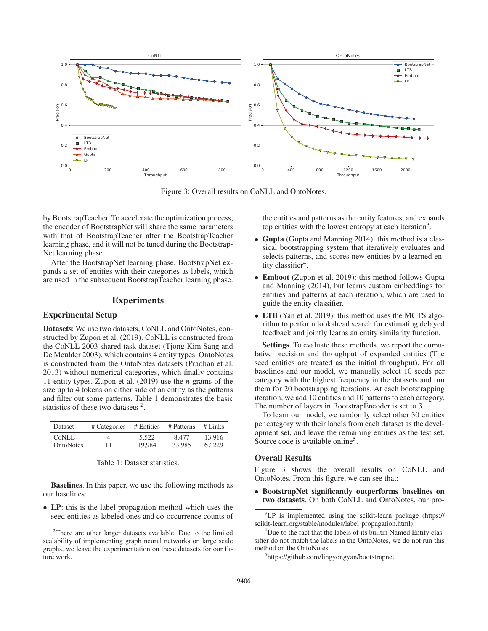

Figure 3: Overall results on CoNLL and OntoNotes.

by BootstrapTeacher. To accelerate the optimization process, the encoder of BootstrapNet will share the same parameters with that of BootstrapTeacher after the BootstrapTeacher learning phase, and it will not be tuned during the Bootstrap-Net learning phase.

After the BootstrapNet learning phase, BootstrapNet expands a set of entities with their categories as labels, which are used in the subsequent BootstrapTeacher learning phase.

## **Experiments**

## Experimental Setup

Datasets: We use two datasets, CoNLL and OntoNotes, constructed by Zupon et al. (2019). CoNLL is constructed from the CoNLL 2003 shared task dataset (Tjong Kim Sang and De Meulder 2003), which contains 4 entity types. OntoNotes is constructed from the OntoNotes datasets (Pradhan et al. 2013) without numerical categories, which finally contains 11 entity types. Zupon et al. (2019) use the *n*-grams of the size up to 4 tokens on either side of an entity as the patterns and filter out some patterns. Table 1 demonstrates the basic statistics of these two datasets<sup>2</sup>.

| Dataset   | # Categories | # Entities | # Patterns | $#$ Links |
|-----------|--------------|------------|------------|-----------|
| CoNLL     | 4            | 5.522      | 8.477      | 13.916    |
| OntoNotes | 11           | 19.984     | 33,985     | 67.229    |

Baselines. In this paper, we use the following methods as our baselines:

• LP: this is the label propagation method which uses the seed entities as labeled ones and co-occurrence counts of the entities and patterns as the entity features, and expands top entities with the lowest entropy at each iteration<sup>3</sup>.

- Gupta (Gupta and Manning 2014): this method is a classical bootstrapping system that iteratively evaluates and selects patterns, and scores new entities by a learned entity classifier<sup>4</sup>.
- Emboot (Zupon et al. 2019): this method follows Gupta and Manning (2014), but learns custom embeddings for entities and patterns at each iteration, which are used to guide the entity classifier.
- LTB (Yan et al. 2019): this method uses the MCTS algorithm to perform lookahead search for estimating delayed feedback and jointly learns an entity similarity function.

Settings. To evaluate these methods, we report the cumulative precision and throughput of expanded entities (The seed entities are treated as the initial throughput). For all baselines and our model, we manually select 10 seeds per category with the highest frequency in the datasets and run them for 20 bootstrapping iterations. At each bootstrapping iteration, we add 10 entities and 10 patterns to each category. The number of layers in BootstrapEncoder is set to 3.

To learn our model, we randomly select other 30 entities per category with their labels from each dataset as the development set, and leave the remaining entities as the test set. Source code is available online<sup>5</sup>.

## Overall Results

Figure 3 shows the overall results on CoNLL and OntoNotes. From this figure, we can see that:

• BootstrapNet significantly outperforms baselines on two datasets. On both CoNLL and OntoNotes, our pro-

<sup>&</sup>lt;sup>2</sup>There are other larger datasets available. Due to the limited scalability of implementing graph neural networks on large scale graphs, we leave the experimentation on these datasets for our future work.

<sup>&</sup>lt;sup>3</sup>LP is implemented using the scikit-learn package (https:// scikit-learn.org/stable/modules/label propagation.html).

<sup>&</sup>lt;sup>4</sup>Due to the fact that the labels of its builtin Named Entity classifier do not match the labels in the OntoNotes, we do not run this method on the OntoNotes.

<sup>5</sup> https://github.com/lingyongyan/bootstrapnet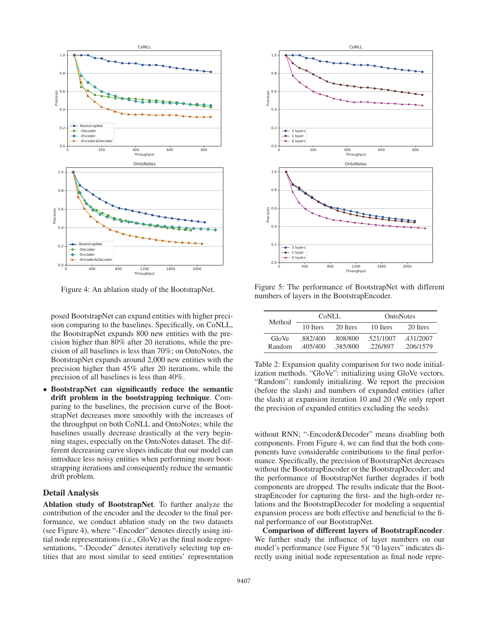

Figure 4: An ablation study of the BootstrapNet.

posed BootstrapNet can expand entities with higher precision comparing to the baselines. Specifically, on CoNLL, the BootstrapNet expands 800 new entities with the precision higher than 80% after 20 iterations, while the precision of all baselines is less than 70%; on OntoNotes, the BootstrapNet expands around 2,000 new entities with the precision higher than 45% after 20 iterations, while the precision of all baselines is less than 40%.

• BootstrapNet can significantly reduce the semantic drift problem in the bootstrapping technique. Comparing to the baselines, the precision curve of the BootstrapNet decreases more smoothly with the increases of the throughput on both CoNLL and OntoNotes; while the baselines usually decrease drastically at the very beginning stages, especially on the OntoNotes dataset. The different decreasing curve slopes indicate that our model can introduce less noisy entities when performing more bootstrapping iterations and consequently reduce the semantic drift problem.

#### Detail Analysis

Ablation study of BootstrapNet. To further analyze the contribution of the encoder and the decoder to the final performance, we conduct ablation study on the two datasets (see Figure 4), where "-Encoder" denotes directly using initial node representations (i.e., GloVe) as the final node representations, "-Decoder" denotes iteratively selecting top entities that are most similar to seed entities' representation



Figure 5: The performance of BootstrapNet with different numbers of layers in the BootstrapEncoder.

| Method          | CoML                 |                      | <b>OntoNotes</b>      |                        |
|-----------------|----------------------|----------------------|-----------------------|------------------------|
|                 | 10 Iters             | 20 Iters             | 10 Iters              | 20 Iters               |
| GloVe<br>Random | .882/400<br>.405/400 | -808/800<br>.385/800 | .521/1007<br>.226/897 | .431/2007<br>.206/1579 |

Table 2: Expansion quality comparison for two node initialization methods. "GloVe": initializing using GloVe vectors. "Random": randomly initializing. We report the precision (before the slash) and numbers of expanded entities (after the slash) at expansion iteration 10 and 20 (We only report the precision of expanded entities excluding the seeds).

without RNN; "-Encoder&Decoder" means disabling both components. From Figure 4, we can find that the both components have considerable contributions to the final performance. Specifically, the precision of BootstrapNet decreases without the BootstrapEncoder or the BootstrapDecoder; and the performance of BootstrapNet further degrades if both components are dropped. The results indicate that the BootstrapEncoder for capturing the first- and the high-order relations and the BootstrapDecoder for modeling a sequential expansion process are both effective and beneficial to the final performance of our BootstrapNet.

Comparison of different layers of BootstrapEncoder. We further study the influence of layer numbers on our model's performance (see Figure 5)( "0 layers" indicates directly using initial node representation as final node repre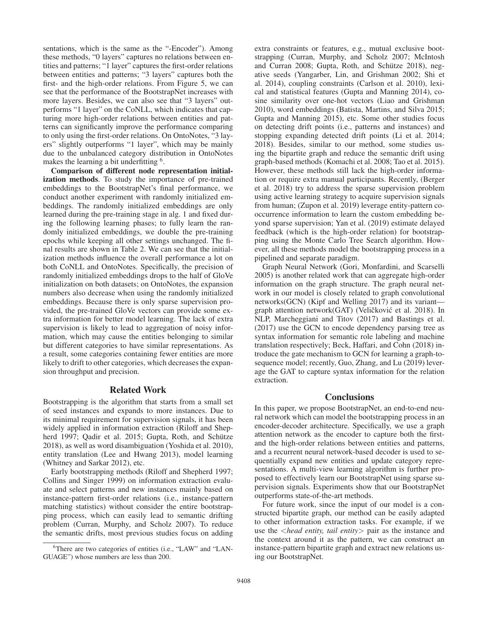sentations, which is the same as the "-Encoder"). Among these methods, "0 layers" captures no relations between entities and patterns; "1 layer" captures the first-order relations between entities and patterns; "3 layers" captures both the first- and the high-order relations. From Figure 5, we can see that the performance of the BootstrapNet increases with more layers. Besides, we can also see that "3 layers" outperforms "1 layer" on the CoNLL, which indicates that capturing more high-order relations between entities and patterns can significantly improve the performance comparing to only using the first-order relations. On OntoNotes, "3 layers" slightly outperforms "1 layer", which may be mainly due to the unbalanced category distribution in OntoNotes makes the learning a bit underfitting <sup>6</sup>.

Comparison of different node representation initialization methods. To study the importance of pre-trained embeddings to the BootstrapNet's final performance, we conduct another experiment with randomly initialized embeddings. The randomly initialized embeddings are only learned during the pre-training stage in alg. 1 and fixed during the following learning phases; to fully learn the randomly initialized embeddings, we double the pre-training epochs while keeping all other settings unchanged. The final results are shown in Table 2. We can see that the initialization methods influence the overall performance a lot on both CoNLL and OntoNotes. Specifically, the precision of randomly initialized embeddings drops to the half of GloVe initialization on both datasets; on OntoNotes, the expansion numbers also decrease when using the randomly initialized embeddings. Because there is only sparse supervision provided, the pre-trained GloVe vectors can provide some extra information for better model learning. The lack of extra supervision is likely to lead to aggregation of noisy information, which may cause the entities belonging to similar but different categories to have similar representations. As a result, some categories containing fewer entities are more likely to drift to other categories, which decreases the expansion throughput and precision.

## Related Work

Bootstrapping is the algorithm that starts from a small set of seed instances and expands to more instances. Due to its minimal requirement for supervision signals, it has been widely applied in information extraction (Riloff and Shepherd 1997; Qadir et al. 2015; Gupta, Roth, and Schütze 2018), as well as word disambiguation (Yoshida et al. 2010), entity translation (Lee and Hwang 2013), model learning (Whitney and Sarkar 2012), etc.

Early bootstrapping methods (Riloff and Shepherd 1997; Collins and Singer 1999) on information extraction evaluate and select patterns and new instances mainly based on instance-pattern first-order relations (i.e., instance-pattern matching statistics) without consider the entire bootstrapping process, which can easily lead to semantic drifting problem (Curran, Murphy, and Scholz 2007). To reduce the semantic drifts, most previous studies focus on adding

extra constraints or features, e.g., mutual exclusive bootstrapping (Curran, Murphy, and Scholz 2007; McIntosh and Curran 2008; Gupta, Roth, and Schütze 2018), negative seeds (Yangarber, Lin, and Grishman 2002; Shi et al. 2014), coupling constraints (Carlson et al. 2010), lexical and statistical features (Gupta and Manning 2014), cosine similarity over one-hot vectors (Liao and Grishman 2010), word embeddings (Batista, Martins, and Silva 2015; Gupta and Manning 2015), etc. Some other studies focus on detecting drift points (i.e., patterns and instances) and stopping expanding detected drift points (Li et al. 2014; 2018). Besides, similar to our method, some studies using the bipartite graph and reduce the semantic drift using graph-based methods (Komachi et al. 2008; Tao et al. 2015). However, these methods still lack the high-order information or require extra manual participants. Recently, (Berger et al. 2018) try to address the sparse supervision problem using active learning strategy to acquire supervision signals from human; (Zupon et al. 2019) leverage entity-pattern cooccurrence information to learn the custom embedding beyond sparse supervision; Yan et al. (2019) estimate delayed feedback (which is the high-order relation) for bootstrapping using the Monte Carlo Tree Search algorithm. However, all these methods model the bootstrapping process in a pipelined and separate paradigm.

Graph Neural Network (Gori, Monfardini, and Scarselli 2005) is another related work that can aggregate high-order information on the graph structure. The graph neural network in our model is closely related to graph convolutional networks(GCN) (Kipf and Welling 2017) and its variant graph attention network(GAT) (Veličković et al. 2018). In NLP, Marcheggiani and Titov (2017) and Bastings et al. (2017) use the GCN to encode dependency parsing tree as syntax information for semantic role labeling and machine translation respectively; Beck, Haffari, and Cohn (2018) introduce the gate mechanism to GCN for learning a graph-tosequence model; recently, Guo, Zhang, and Lu (2019) leverage the GAT to capture syntax information for the relation extraction.

#### Conclusions

In this paper, we propose BootstrapNet, an end-to-end neural network which can model the bootstrapping process in an encoder-decoder architecture. Specifically, we use a graph attention network as the encoder to capture both the firstand the high-order relations between entities and patterns, and a recurrent neural network-based decoder is used to sequentially expand new entities and update category representations. A multi-view learning algorithm is further proposed to effectively learn our BootstrapNet using sparse supervision signals. Experiments show that our BootstrapNet outperforms state-of-the-art methods.

For future work, since the input of our model is a constructed bipartite graph, our method can be easily adapted to other information extraction tasks. For example, if we use the <*head entity, tail entity*> pair as the instance and the context around it as the pattern, we can construct an instance-pattern bipartite graph and extract new relations using our BootstrapNet.

<sup>&</sup>lt;sup>6</sup>There are two categories of entities (i.e., "LAW" and "LAN-GUAGE") whose numbers are less than 200.